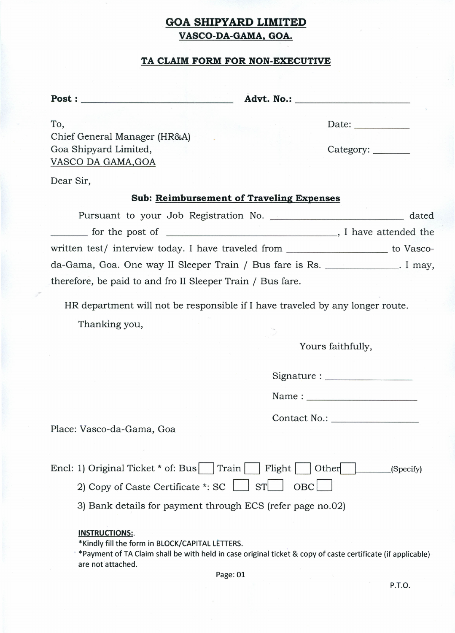## **GOA SHIPYARD LIMITED VASCO-DA-GAMA. GOA.**

### **TA CLAIM FORM FOR NON-EXECUTIVE**

Post: \_ **Advt.** No.: \_

To, Chief General Manager (HR&A) Goa Shipyard Limited, VASCODA GAMA,GOA

| Date: |  |  |
|-------|--|--|
|       |  |  |
|       |  |  |

Category: \_\_\_\_\_\_\_

Dear Sir,

#### **Sub: Reimbursement of Traveling Expenses**

Pursuant to your Job Registration No. 2008 2014 2016 2021 2022 2023 The post of  $\frac{1}{1}$  have attended the written test/ interview today. I have traveled from \_\_\_\_\_\_\_\_\_\_\_\_\_\_\_\_\_\_ to Vascoda-Gama, Goa. One way II Sleeper Train / Bus fare is Rs. . I may, therefore, be paid to and fro II Sleeper Train / Bus fare.

HR department will not be responsible if I have traveled by any longer route.

Thanking you,

Yours faithfully,

Signature: \_

Name :  $\blacksquare$ 

Contact No.: \_

Place: Vasco-da-Gama, Goa

| Encl: 1) Original Ticket * of: Bus Train Flight Other (Specify) |  |  |
|-----------------------------------------------------------------|--|--|
| 2) Copy of Caste Certificate *: SC $\Box$ ST OBC                |  |  |

3) Bank details for payment through ECS (refer page no.02)

#### **INSTRUCTIONS:.**

\*Kindly fill the form in BLOCK/CAPITAL LETTERS.

. \*Payment of TA Claim shall be with held in case original ticket & copy of caste certificate (if applicable) are not attached.